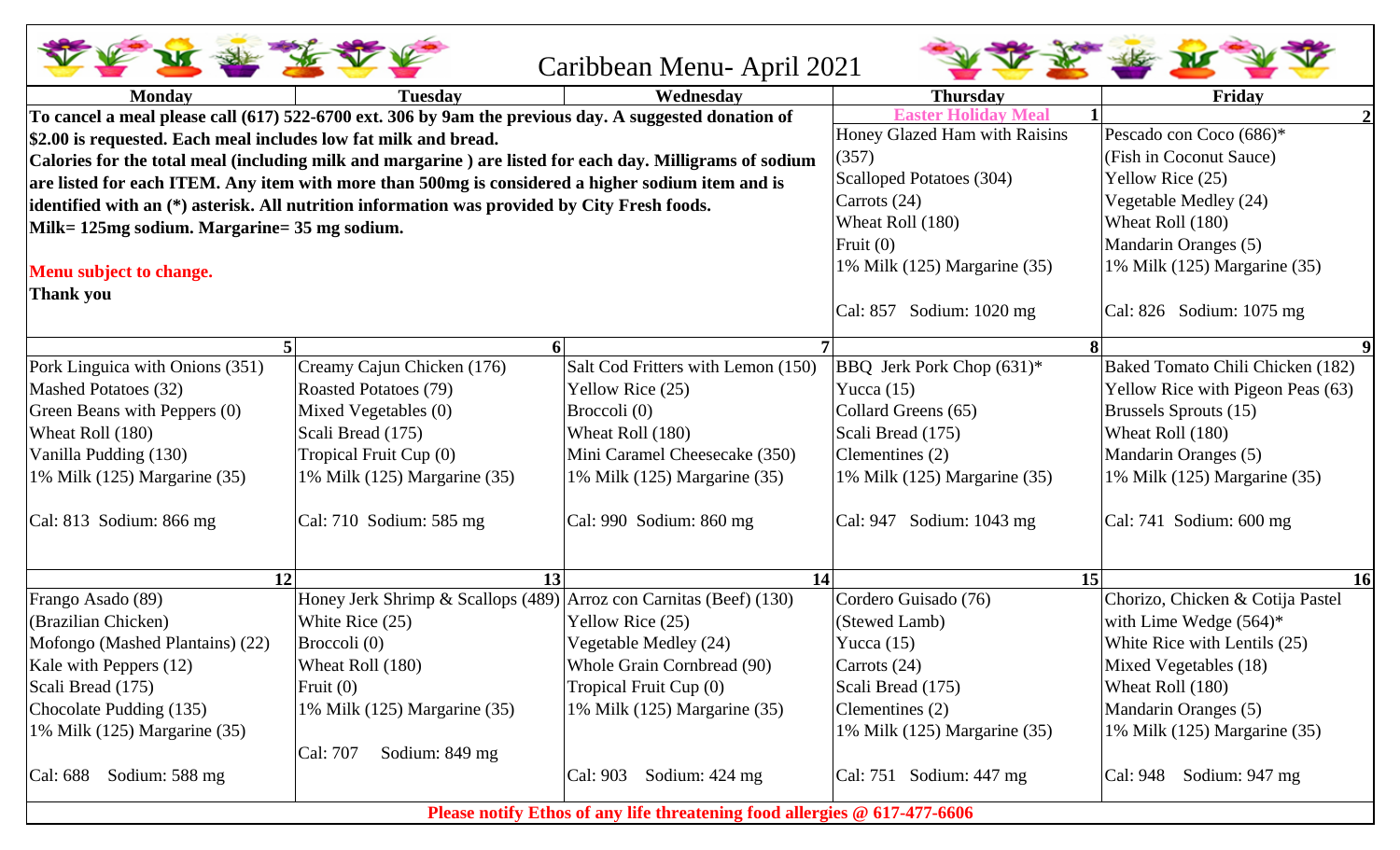|                                                                                                                                                                                                               |                                                                                                       | Caribbean Menu-April 2021                                                 |                                 |                                   |
|---------------------------------------------------------------------------------------------------------------------------------------------------------------------------------------------------------------|-------------------------------------------------------------------------------------------------------|---------------------------------------------------------------------------|---------------------------------|-----------------------------------|
| <b>Monday</b>                                                                                                                                                                                                 | <b>Tuesday</b>                                                                                        | Wednesdav                                                                 | <b>Thursday</b>                 | Friday                            |
|                                                                                                                                                                                                               | To cancel a meal please call (617) 522-6700 ext. 306 by 9am the previous day. A suggested donation of |                                                                           | <b>Mea</b>                      |                                   |
| \$2.00 is requested. Each meal includes low fat milk and bread.                                                                                                                                               |                                                                                                       | Honey Glazed Ham with Raisins                                             | Pescado con Coco (686)*         |                                   |
|                                                                                                                                                                                                               |                                                                                                       | (357)                                                                     | (Fish in Coconut Sauce)         |                                   |
| Calories for the total meal (including milk and margarine) are listed for each day. Milligrams of sodium<br>are listed for each ITEM. Any item with more than 500mg is considered a higher sodium item and is |                                                                                                       |                                                                           | <b>Scalloped Potatoes (304)</b> | Yellow Rice (25)                  |
|                                                                                                                                                                                                               | identified with an (*) asterisk. All nutrition information was provided by City Fresh foods.          | Carrots (24)                                                              | Vegetable Medley (24)           |                                   |
| Milk= 125mg sodium. Margarine= 35 mg sodium.                                                                                                                                                                  |                                                                                                       | Wheat Roll (180)                                                          | Wheat Roll (180)                |                                   |
|                                                                                                                                                                                                               |                                                                                                       |                                                                           | Fruit $(0)$                     | Mandarin Oranges (5)              |
| Menu subject to change.                                                                                                                                                                                       |                                                                                                       | 1% Milk (125) Margarine (35)                                              | 1% Milk (125) Margarine (35)    |                                   |
| Thank you                                                                                                                                                                                                     |                                                                                                       |                                                                           |                                 |                                   |
|                                                                                                                                                                                                               |                                                                                                       |                                                                           | Cal: 857 Sodium: 1020 mg        | Cal: $826$ Sodium: $1075$ mg      |
|                                                                                                                                                                                                               |                                                                                                       |                                                                           |                                 |                                   |
| Pork Linguica with Onions (351)                                                                                                                                                                               | Creamy Cajun Chicken (176)                                                                            | Salt Cod Fritters with Lemon (150)                                        | BBQ Jerk Pork Chop (631)*       | Baked Tomato Chili Chicken (182)  |
| Mashed Potatoes (32)                                                                                                                                                                                          | <b>Roasted Potatoes (79)</b>                                                                          | Yellow Rice (25)                                                          | Yucca $(15)$                    | Yellow Rice with Pigeon Peas (63) |
| Green Beans with Peppers (0)                                                                                                                                                                                  | Mixed Vegetables (0)                                                                                  | Broccoli (0)                                                              | Collard Greens (65)             | Brussels Sprouts (15)             |
| Wheat Roll (180)                                                                                                                                                                                              | Scali Bread (175)                                                                                     | Wheat Roll (180)                                                          | Scali Bread (175)               | Wheat Roll (180)                  |
| Vanilla Pudding (130)                                                                                                                                                                                         | Tropical Fruit Cup (0)                                                                                | Mini Caramel Cheesecake (350)                                             | Clementines (2)                 | Mandarin Oranges (5)              |
| 1% Milk (125) Margarine (35)                                                                                                                                                                                  | 1% Milk (125) Margarine (35)                                                                          | 1% Milk $(125)$ Margarine $(35)$                                          | 1% Milk (125) Margarine (35)    | 1% Milk (125) Margarine (35)      |
| $\text{Cal: } 813$ Sodium: 866 mg                                                                                                                                                                             | Cal: $710$ Sodium: $585$ mg                                                                           | Cal: 990 Sodium: 860 mg                                                   | Cal: 947 Sodium: 1043 mg        | $\vert$ Cal: 741 Sodium: 600 mg   |
| 12                                                                                                                                                                                                            | 13                                                                                                    | 14                                                                        | 15                              | <b>16</b>                         |
| Frango Asado (89)                                                                                                                                                                                             | Honey Jerk Shrimp & Scallops (489) Arroz con Carnitas (Beef) (130)                                    |                                                                           | Cordero Guisado (76)            | Chorizo, Chicken & Cotija Pastel  |
| (Brazilian Chicken)                                                                                                                                                                                           | White Rice (25)                                                                                       | Yellow Rice (25)                                                          | (Stewed Lamb)                   | with Lime Wedge $(564)^*$         |
| Mofongo (Mashed Plantains) (22)                                                                                                                                                                               | Broccoli (0)                                                                                          | Vegetable Medley (24)                                                     | Yucca $(15)$                    | White Rice with Lentils (25)      |
| Kale with Peppers (12)                                                                                                                                                                                        | Wheat Roll (180)                                                                                      | Whole Grain Cornbread (90)                                                | Carrots $(24)$                  | Mixed Vegetables (18)             |
| Scali Bread (175)                                                                                                                                                                                             | Fruit $(0)$                                                                                           | Tropical Fruit Cup (0)                                                    | Scali Bread (175)               | Wheat Roll (180)                  |
| Chocolate Pudding (135)                                                                                                                                                                                       | 1% Milk (125) Margarine (35)                                                                          | 1% Milk $(125)$ Margarine $(35)$                                          | Clementines (2)                 | Mandarin Oranges (5)              |
| 1% Milk (125) Margarine (35)                                                                                                                                                                                  |                                                                                                       |                                                                           | 1% Milk (125) Margarine (35)    | 1% Milk (125) Margarine (35)      |
|                                                                                                                                                                                                               | Cal: 707<br>Sodium: $849$ mg                                                                          |                                                                           |                                 |                                   |
| Sodium: 588 mg<br>Cal: 688                                                                                                                                                                                    |                                                                                                       | Sodium: 424 mg<br>Cal: 903                                                | Cal: 751 Sodium: 447 mg         | Sodium: 947 mg<br>Cal: 948        |
|                                                                                                                                                                                                               |                                                                                                       | Please notify Ethos of any life threatening food allergies @ 617-477-6606 |                                 |                                   |